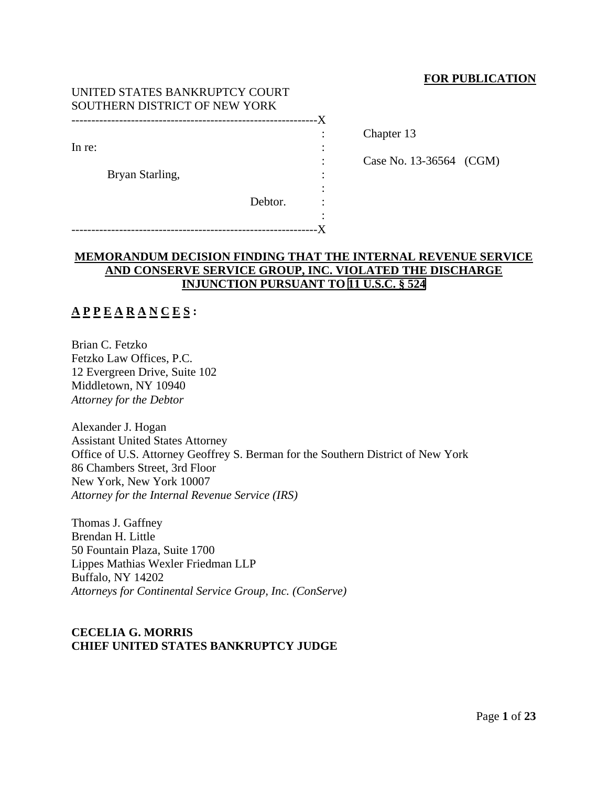## **FOR PUBLICATION**

Chapter 13

Case No. 13-36564 (CGM)

| UNITED STATES BANKRUPTCY COURT |    |
|--------------------------------|----|
| SOUTHERN DISTRICT OF NEW YORK  |    |
|                                | -X |
|                                |    |
| In re:                         |    |
|                                |    |
| Bryan Starling,                |    |
|                                |    |
| Debtor.                        |    |
|                                |    |
|                                |    |

# **MEMORANDUM DECISION FINDING THAT THE INTERNAL REVENUE SERVICE AND CONSERVE SERVICE GROUP, INC. VIOLATED THE DISCHARGE INJUNCTION PURSUANT TO 11 U.S.C. § 524**

# **A P P E A R A N C E S :**

Brian C. Fetzko Fetzko Law Offices, P.C. 12 Evergreen Drive, Suite 102 Middletown, NY 10940 *Attorney for the Debtor*

Alexander J. Hogan Assistant United States Attorney Office of U.S. Attorney Geoffrey S. Berman for the Southern District of New York 86 Chambers Street, 3rd Floor New York, New York 10007 *Attorney for the Internal Revenue Service (IRS)*

Thomas J. Gaffney Brendan H. Little 50 Fountain Plaza, Suite 1700 Lippes Mathias Wexler Friedman LLP Buffalo, NY 14202 *Attorneys for Continental Service Group, Inc. (ConServe)*

## **CECELIA G. MORRIS CHIEF UNITED STATES BANKRUPTCY JUDGE**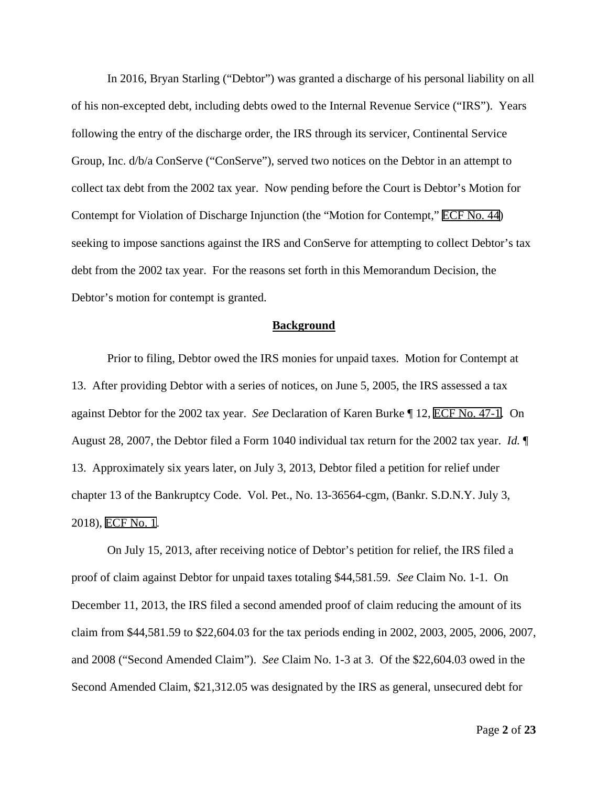In 2016, Bryan Starling ("Debtor") was granted a discharge of his personal liability on all of his non-excepted debt, including debts owed to the Internal Revenue Service ("IRS"). Years following the entry of the discharge order, the IRS through its servicer, Continental Service Group, Inc. d/b/a ConServe ("ConServe"), served two notices on the Debtor in an attempt to collect tax debt from the 2002 tax year. Now pending before the Court is Debtor's Motion for Contempt for Violation of Discharge Injunction (the "Motion for Contempt," ECF No. 44) seeking to impose sanctions against the IRS and ConServe for attempting to collect Debtor's tax debt from the 2002 tax year. For the reasons set forth in this Memorandum Decision, the Debtor's motion for contempt is granted.

#### **Background**

Prior to filing, Debtor owed the IRS monies for unpaid taxes. Motion for Contempt at 13. After providing Debtor with a series of notices, on June 5, 2005, the IRS assessed a tax against Debtor for the 2002 tax year. *See* Declaration of Karen Burke ¶ 12, ECF No. 47-1. On August 28, 2007, the Debtor filed a Form 1040 individual tax return for the 2002 tax year. *Id.* ¶ 13. Approximately six years later, on July 3, 2013, Debtor filed a petition for relief under chapter 13 of the Bankruptcy Code. Vol. Pet., No. 13-36564-cgm, (Bankr. S.D.N.Y. July 3, 2018), ECF No. 1.

On July 15, 2013, after receiving notice of Debtor's petition for relief, the IRS filed a proof of claim against Debtor for unpaid taxes totaling \$44,581.59. *See* Claim No. 1-1. On December 11, 2013, the IRS filed a second amended proof of claim reducing the amount of its claim from \$44,581.59 to \$22,604.03 for the tax periods ending in 2002, 2003, 2005, 2006, 2007, and 2008 ("Second Amended Claim"). *See* Claim No. 1-3 at 3. Of the \$22,604.03 owed in the Second Amended Claim, \$21,312.05 was designated by the IRS as general, unsecured debt for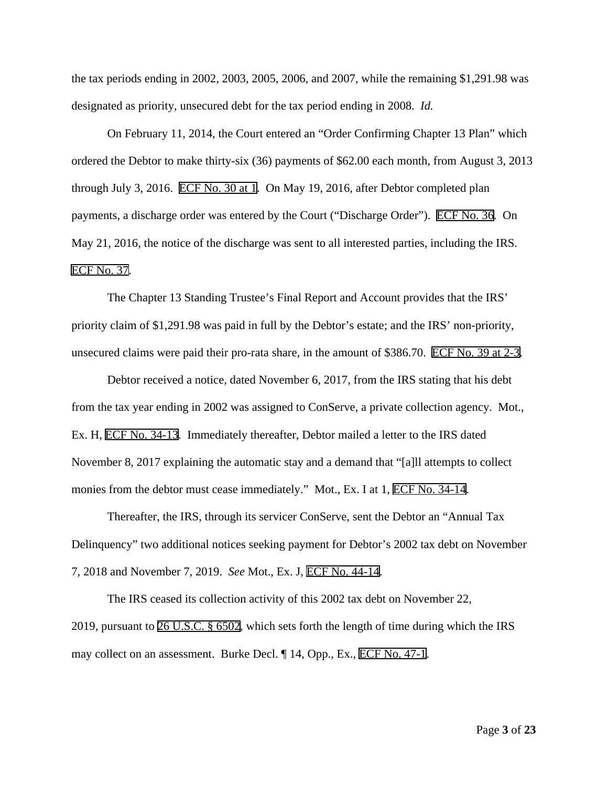the tax periods ending in 2002, 2003, 2005, 2006, and 2007, while the remaining \$1,291.98 was designated as priority, unsecured debt for the tax period ending in 2008. *Id.*

On February 11, 2014, the Court entered an "Order Confirming Chapter 13 Plan" which ordered the Debtor to make thirty-six (36) payments of \$62.00 each month, from August 3, 2013 through July 3, 2016. ECF No. 30 at 1. On May 19, 2016, after Debtor completed plan payments, a discharge order was entered by the Court ("Discharge Order"). ECF No. 36. On May 21, 2016, the notice of the discharge was sent to all interested parties, including the IRS. ECF No. 37.

The Chapter 13 Standing Trustee's Final Report and Account provides that the IRS' priority claim of \$1,291.98 was paid in full by the Debtor's estate; and the IRS' non-priority, unsecured claims were paid their pro-rata share, in the amount of \$386.70. ECF No. 39 at 2-3.

Debtor received a notice, dated November 6, 2017, from the IRS stating that his debt from the tax year ending in 2002 was assigned to ConServe, a private collection agency. Mot., Ex. H, ECF No. 34-13. Immediately thereafter, Debtor mailed a letter to the IRS dated November 8, 2017 explaining the automatic stay and a demand that "[a]ll attempts to collect monies from the debtor must cease immediately." Mot., Ex. I at 1, ECF No. 34-14.

Thereafter, the IRS, through its servicer ConServe, sent the Debtor an "Annual Tax Delinquency" two additional notices seeking payment for Debtor's 2002 tax debt on November 7, 2018 and November 7, 2019. *See* Mot., Ex. J, ECF No. 44-14.

The IRS ceased its collection activity of this 2002 tax debt on November 22, 2019, pursuant to 26 U.S.C. § 6502, which sets forth the length of time during which the IRS may collect on an assessment. Burke Decl. ¶ 14, Opp., Ex., ECF No. 47-1.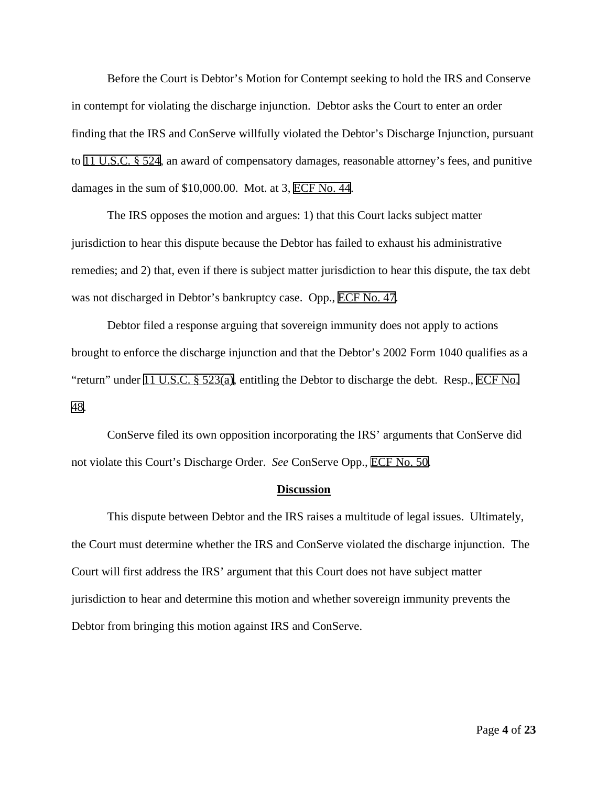Before the Court is Debtor's Motion for Contempt seeking to hold the IRS and Conserve in contempt for violating the discharge injunction. Debtor asks the Court to enter an order finding that the IRS and ConServe willfully violated the Debtor's Discharge Injunction, pursuant to 11 U.S.C. § 524, an award of compensatory damages, reasonable attorney's fees, and punitive damages in the sum of \$10,000.00. Mot. at 3, ECF No. 44.

The IRS opposes the motion and argues: 1) that this Court lacks subject matter jurisdiction to hear this dispute because the Debtor has failed to exhaust his administrative remedies; and 2) that, even if there is subject matter jurisdiction to hear this dispute, the tax debt was not discharged in Debtor's bankruptcy case. Opp., ECF No. 47.

Debtor filed a response arguing that sovereign immunity does not apply to actions brought to enforce the discharge injunction and that the Debtor's 2002 Form 1040 qualifies as a "return" under 11 U.S.C. § 523(a), entitling the Debtor to discharge the debt. Resp., ECF No. 48.

ConServe filed its own opposition incorporating the IRS' arguments that ConServe did not violate this Court's Discharge Order. *See* ConServe Opp., ECF No. 50.

### **Discussion**

This dispute between Debtor and the IRS raises a multitude of legal issues. Ultimately, the Court must determine whether the IRS and ConServe violated the discharge injunction. The Court will first address the IRS' argument that this Court does not have subject matter jurisdiction to hear and determine this motion and whether sovereign immunity prevents the Debtor from bringing this motion against IRS and ConServe.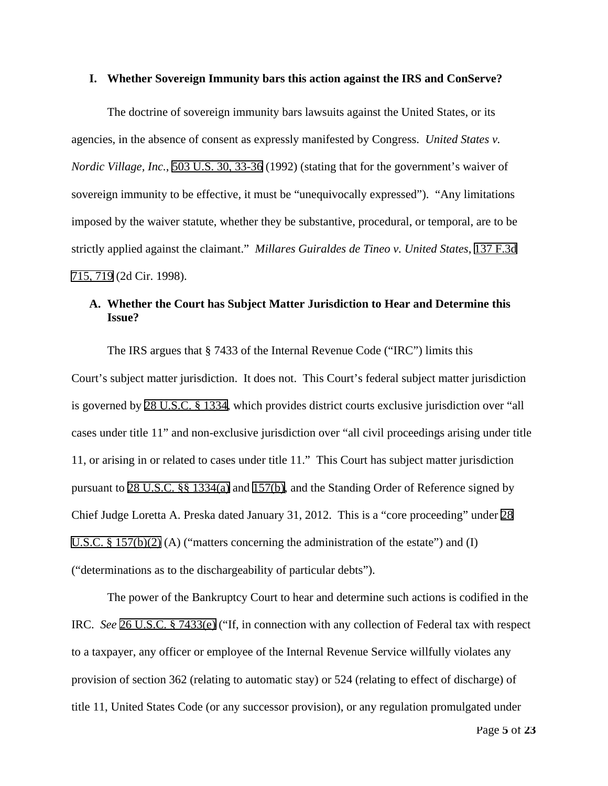### **I. Whether Sovereign Immunity bars this action against the IRS and ConServe?**

The doctrine of sovereign immunity bars lawsuits against the United States, or its agencies, in the absence of consent as expressly manifested by Congress. *United States v. Nordic Village, Inc.*, 503 U.S. 30, 33-36 (1992) (stating that for the government's waiver of sovereign immunity to be effective, it must be "unequivocally expressed"). "Any limitations imposed by the waiver statute, whether they be substantive, procedural, or temporal, are to be strictly applied against the claimant." *Millares Guiraldes de Tineo v. United States*, 137 F.3d 715, 719 (2d Cir. 1998).

# **A. Whether the Court has Subject Matter Jurisdiction to Hear and Determine this Issue?**

The IRS argues that § 7433 of the Internal Revenue Code ("IRC") limits this Court's subject matter jurisdiction. It does not. This Court's federal subject matter jurisdiction is governed by 28 U.S.C. § 1334, which provides district courts exclusive jurisdiction over "all cases under title 11" and non-exclusive jurisdiction over "all civil proceedings arising under title 11, or arising in or related to cases under title 11." This Court has subject matter jurisdiction pursuant to 28 U.S.C. §§ 1334(a) and 157(b), and the Standing Order of Reference signed by Chief Judge Loretta A. Preska dated January 31, 2012. This is a "core proceeding" under 28 U.S.C.  $\S 157(b)(2)$  (A) ("matters concerning the administration of the estate") and (I) ("determinations as to the dischargeability of particular debts").

The power of the Bankruptcy Court to hear and determine such actions is codified in the IRC. *See* 26 U.S.C. § 7433(e) ("If, in connection with any collection of Federal tax with respect to a taxpayer, any officer or employee of the Internal Revenue Service willfully violates any provision of section 362 (relating to automatic stay) or 524 (relating to effect of discharge) of title 11, United States Code (or any successor provision), or any regulation promulgated under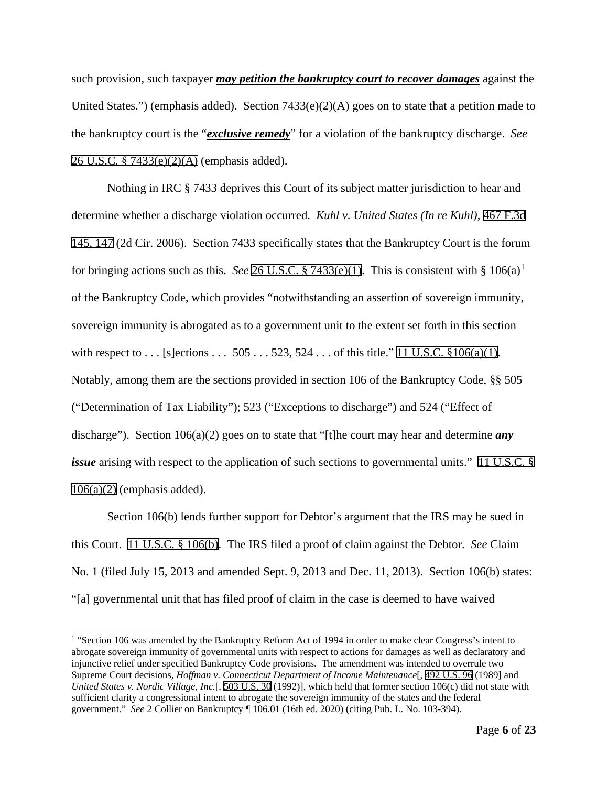such provision, such taxpayer *may petition the bankruptcy court to recover damages* against the United States.") (emphasis added). Section  $7433(e)(2)(A)$  goes on to state that a petition made to the bankruptcy court is the "*exclusive remedy*" for a violation of the bankruptcy discharge. *See* 26 U.S.C. § 7433(e)(2)(A) (emphasis added).

Nothing in IRC § 7433 deprives this Court of its subject matter jurisdiction to hear and determine whether a discharge violation occurred. *Kuhl v. United States (In re Kuhl)*, 467 F.3d 145, 147 (2d Cir. 2006). Section 7433 specifically states that the Bankruptcy Court is the forum for bringing actions such as this. *See* 26 U.S.C. § 7433(e)([1](#page-5-0)). This is consistent with §  $106(a)^{1}$ of the Bankruptcy Code, which provides "notwithstanding an assertion of sovereign immunity, sovereign immunity is abrogated as to a government unit to the extent set forth in this section with respect to . . . [s]ections . . . 505 . . . 523, 524 . . . of this title." 11 U.S.C.  $\S 106(a)(1)$ . Notably, among them are the sections provided in section 106 of the Bankruptcy Code, §§ 505 ("Determination of Tax Liability"); 523 ("Exceptions to discharge") and 524 ("Effect of discharge"). Section 106(a)(2) goes on to state that "[t]he court may hear and determine *any issue* arising with respect to the application of such sections to governmental units." 11 U.S.C. §  $106(a)(2)$  (emphasis added).

Section 106(b) lends further support for Debtor's argument that the IRS may be sued in this Court. 11 U.S.C. § 106(b). The IRS filed a proof of claim against the Debtor. *See* Claim No. 1 (filed July 15, 2013 and amended Sept. 9, 2013 and Dec. 11, 2013). Section 106(b) states: "[a] governmental unit that has filed proof of claim in the case is deemed to have waived

<span id="page-5-0"></span><sup>&</sup>lt;sup>1</sup> "Section 106 was amended by the Bankruptcy Reform Act of 1994 in order to make clear Congress's intent to abrogate sovereign immunity of governmental units with respect to actions for damages as well as declaratory and injunctive relief under specified Bankruptcy Code provisions. The amendment was intended to overrule two Supreme Court decisions, *Hoffman v. Connecticut Department of Income Maintenance*[, 492 U.S. 96 (1989] and *United States v. Nordic Village, Inc.*[, 503 U.S. 30 (1992)], which held that former section 106(c) did not state with sufficient clarity a congressional intent to abrogate the sovereign immunity of the states and the federal government." *See* 2 Collier on Bankruptcy ¶ 106.01 (16th ed. 2020) (citing Pub. L. No. 103-394).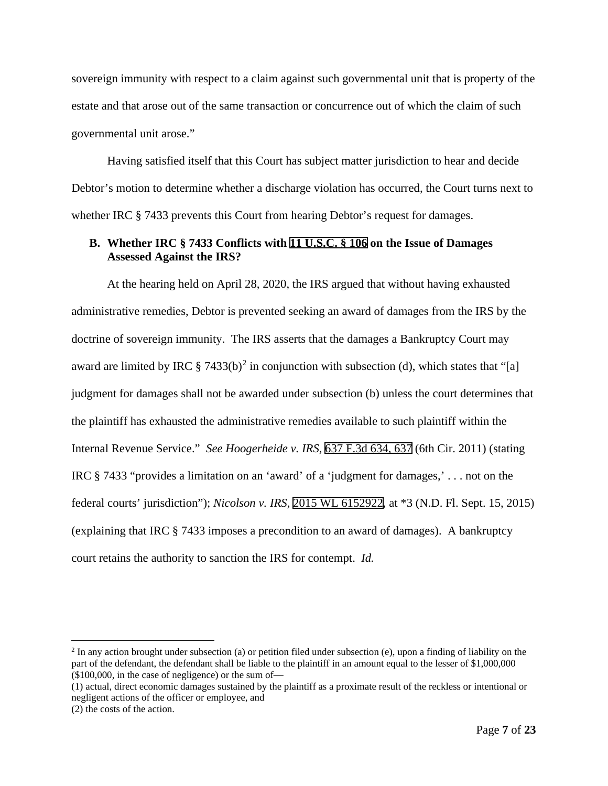sovereign immunity with respect to a claim against such governmental unit that is property of the estate and that arose out of the same transaction or concurrence out of which the claim of such governmental unit arose."

Having satisfied itself that this Court has subject matter jurisdiction to hear and decide Debtor's motion to determine whether a discharge violation has occurred, the Court turns next to whether IRC § 7433 prevents this Court from hearing Debtor's request for damages.

## **B. Whether IRC § 7433 Conflicts with 11 U.S.C. § 106 on the Issue of Damages Assessed Against the IRS?**

At the hearing held on April 28, 2020, the IRS argued that without having exhausted administrative remedies, Debtor is prevented seeking an award of damages from the IRS by the doctrine of sovereign immunity. The IRS asserts that the damages a Bankruptcy Court may award are limited by IRC  $\S$  7433(b)<sup>[2](#page-6-0)</sup> in conjunction with subsection (d), which states that "[a] judgment for damages shall not be awarded under subsection (b) unless the court determines that the plaintiff has exhausted the administrative remedies available to such plaintiff within the Internal Revenue Service." *See Hoogerheide v. IRS*, 637 F.3d 634, 637 (6th Cir. 2011) (stating IRC § 7433 "provides a limitation on an 'award' of a 'judgment for damages,' . . . not on the federal courts' jurisdiction"); *Nicolson v. IRS*, 2015 WL 6152922, at \*3 (N.D. Fl. Sept. 15, 2015) (explaining that IRC § 7433 imposes a precondition to an award of damages). A bankruptcy court retains the authority to sanction the IRS for contempt. *Id.*

<span id="page-6-0"></span> $2$  In any action brought under subsection (a) or petition filed under subsection (e), upon a finding of liability on the part of the defendant, the defendant shall be liable to the plaintiff in an amount equal to the lesser of \$1,000,000 (\$100,000, in the case of negligence) or the sum of—

<sup>(1)</sup> actual, direct economic damages sustained by the plaintiff as a proximate result of the reckless or intentional or negligent actions of the officer or employee, and

<sup>(2)</sup> the costs of the action.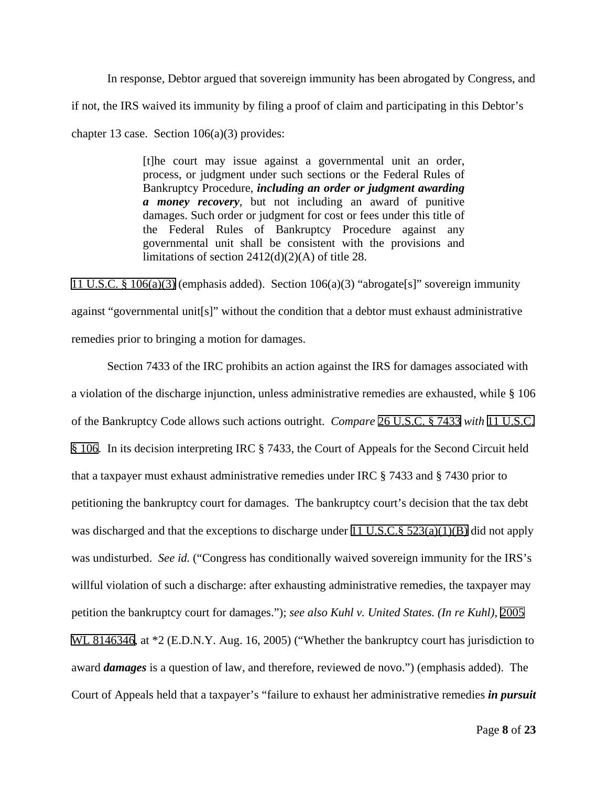In response, Debtor argued that sovereign immunity has been abrogated by Congress, and if not, the IRS waived its immunity by filing a proof of claim and participating in this Debtor's chapter 13 case. Section 106(a)(3) provides:

> [t]he court may issue against a governmental unit an order, process, or judgment under such sections or the Federal Rules of Bankruptcy Procedure, *including an order or judgment awarding a money recovery*, but not including an award of punitive damages. Such order or judgment for cost or fees under this title of the Federal Rules of Bankruptcy Procedure against any governmental unit shall be consistent with the provisions and limitations of section 2412(d)(2)(A) of title 28.

11 U.S.C. § 106(a)(3) (emphasis added). Section 106(a)(3) "abrogate[s]" sovereign immunity against "governmental unit[s]" without the condition that a debtor must exhaust administrative remedies prior to bringing a motion for damages.

Section 7433 of the IRC prohibits an action against the IRS for damages associated with a violation of the discharge injunction, unless administrative remedies are exhausted, while § 106 of the Bankruptcy Code allows such actions outright. *Compare* 26 U.S.C. § 7433 *with* 11 U.S.C. § 106. In its decision interpreting IRC § 7433, the Court of Appeals for the Second Circuit held that a taxpayer must exhaust administrative remedies under IRC § 7433 and § 7430 prior to petitioning the bankruptcy court for damages. The bankruptcy court's decision that the tax debt was discharged and that the exceptions to discharge under 11 U.S.C.§ 523(a)(1)(B) did not apply was undisturbed. *See id.* ("Congress has conditionally waived sovereign immunity for the IRS's willful violation of such a discharge: after exhausting administrative remedies, the taxpayer may petition the bankruptcy court for damages."); *see also Kuhl v. United States. (In re Kuhl)*, 2005 WL 8146346, at  $*2$  (E.D.N.Y. Aug. 16, 2005) ("Whether the bankruptcy court has jurisdiction to award *damages* is a question of law, and therefore, reviewed de novo.") (emphasis added). The Court of Appeals held that a taxpayer's "failure to exhaust her administrative remedies *in pursuit*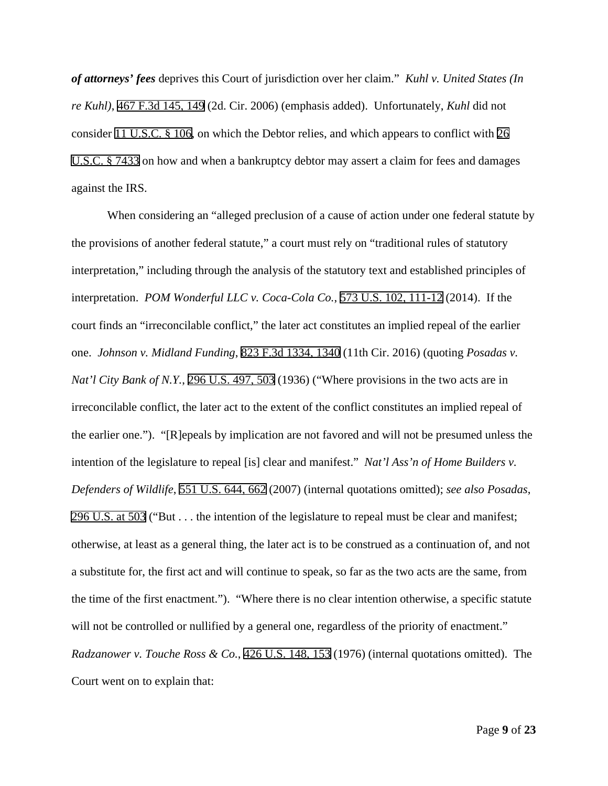*of attorneys' fees* deprives this Court of jurisdiction over her claim." *Kuhl v. United States (In re Kuhl)*, 467 F.3d 145, 149 (2d. Cir. 2006) (emphasis added). Unfortunately, *Kuhl* did not consider 11 U.S.C. § 106, on which the Debtor relies, and which appears to conflict with 26 U.S.C. § 7433 on how and when a bankruptcy debtor may assert a claim for fees and damages against the IRS.

When considering an "alleged preclusion of a cause of action under one federal statute by the provisions of another federal statute," a court must rely on "traditional rules of statutory interpretation," including through the analysis of the statutory text and established principles of interpretation. *POM Wonderful LLC v. Coca-Cola Co.*, 573 U.S. 102, 111-12 (2014). If the court finds an "irreconcilable conflict," the later act constitutes an implied repeal of the earlier one. *Johnson v. Midland Funding*, 823 F.3d 1334, 1340 (11th Cir. 2016) (quoting *Posadas v. Nat'l City Bank of N.Y.*, 296 U.S. 497, 503 (1936) ("Where provisions in the two acts are in irreconcilable conflict, the later act to the extent of the conflict constitutes an implied repeal of the earlier one."). "[R]epeals by implication are not favored and will not be presumed unless the intention of the legislature to repeal [is] clear and manifest." *Nat'l Ass'n of Home Builders v. Defenders of Wildlife*, 551 U.S. 644, 662 (2007) (internal quotations omitted); *see also Posadas*, 296 U.S. at 503 ("But . . . the intention of the legislature to repeal must be clear and manifest; otherwise, at least as a general thing, the later act is to be construed as a continuation of, and not a substitute for, the first act and will continue to speak, so far as the two acts are the same, from the time of the first enactment."). "Where there is no clear intention otherwise, a specific statute will not be controlled or nullified by a general one, regardless of the priority of enactment." *Radzanower v. Touche Ross & Co.*, 426 U.S. 148, 153 (1976) (internal quotations omitted). The Court went on to explain that: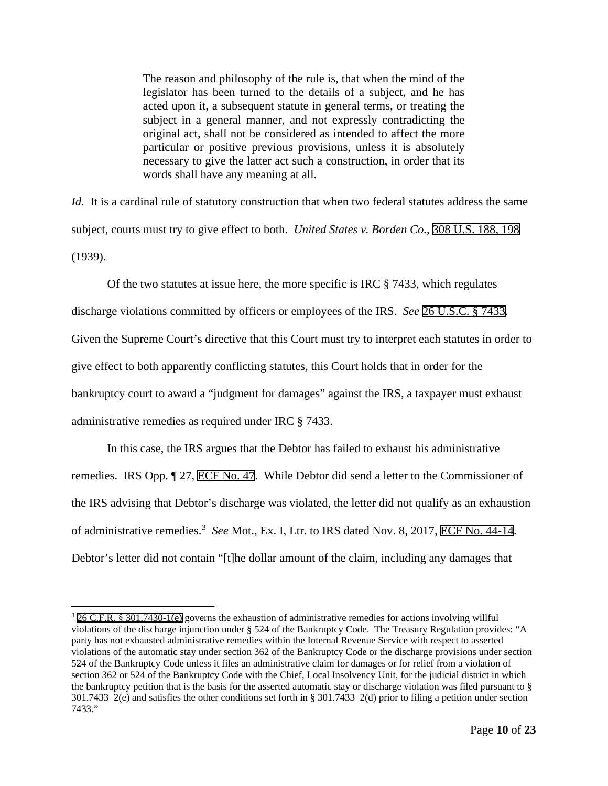The reason and philosophy of the rule is, that when the mind of the legislator has been turned to the details of a subject, and he has acted upon it, a subsequent statute in general terms, or treating the subject in a general manner, and not expressly contradicting the original act, shall not be considered as intended to affect the more particular or positive previous provisions, unless it is absolutely necessary to give the latter act such a construction, in order that its words shall have any meaning at all.

*Id.* It is a cardinal rule of statutory construction that when two federal statutes address the same subject, courts must try to give effect to both. *United States v. Borden Co.*, 308 U.S. 188, 198 (1939).

Of the two statutes at issue here, the more specific is IRC  $\S$  7433, which regulates discharge violations committed by officers or employees of the IRS. *See* 26 U.S.C. § 7433. Given the Supreme Court's directive that this Court must try to interpret each statutes in order to give effect to both apparently conflicting statutes, this Court holds that in order for the bankruptcy court to award a "judgment for damages" against the IRS, a taxpayer must exhaust administrative remedies as required under IRC § 7433.

In this case, the IRS argues that the Debtor has failed to exhaust his administrative remedies. IRS Opp. ¶ 27, ECF No. 47. While Debtor did send a letter to the Commissioner of the IRS advising that Debtor's discharge was violated, the letter did not qualify as an exhaustion of administrative remedies.<sup>[3](#page-9-0)</sup> See Mot., Ex. I, Ltr. to IRS dated Nov. 8, 2017, ECF No. 44-14. Debtor's letter did not contain "[t]he dollar amount of the claim, including any damages that

<span id="page-9-0"></span><sup>3</sup> 26 C.F.R. § 301.7430-1(e) governs the exhaustion of administrative remedies for actions involving willful violations of the discharge injunction under § 524 of the Bankruptcy Code. The Treasury Regulation provides: "A party has not exhausted administrative remedies within the Internal Revenue Service with respect to asserted violations of the automatic stay under section 362 of the Bankruptcy Code or the discharge provisions under section 524 of the Bankruptcy Code unless it files an administrative claim for damages or for relief from a violation of section 362 or 524 of the Bankruptcy Code with the Chief, Local Insolvency Unit, for the judicial district in which the bankruptcy petition that is the basis for the asserted automatic stay or discharge violation was filed pursuant to § 301.7433–2(e) and satisfies the other conditions set forth in § 301.7433–2(d) prior to filing a petition under section 7433."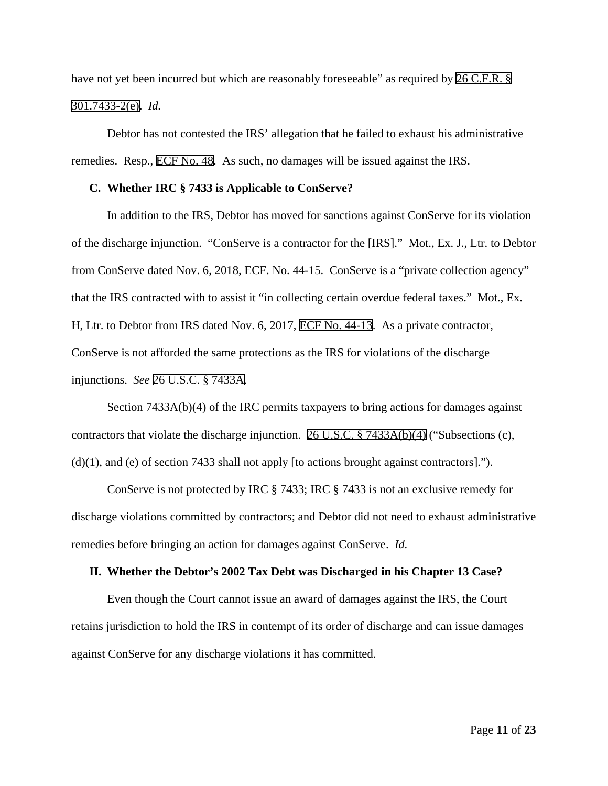have not yet been incurred but which are reasonably foreseeable" as required by 26 C.F.R. § 301.7433-2(e). *Id.*

Debtor has not contested the IRS' allegation that he failed to exhaust his administrative remedies. Resp., ECF No. 48. As such, no damages will be issued against the IRS.

## **C. Whether IRC § 7433 is Applicable to ConServe?**

In addition to the IRS, Debtor has moved for sanctions against ConServe for its violation of the discharge injunction. "ConServe is a contractor for the [IRS]." Mot., Ex. J., Ltr. to Debtor from ConServe dated Nov. 6, 2018, ECF. No. 44-15. ConServe is a "private collection agency" that the IRS contracted with to assist it "in collecting certain overdue federal taxes." Mot., Ex. H, Ltr. to Debtor from IRS dated Nov. 6, 2017, ECF No. 44-13. As a private contractor, ConServe is not afforded the same protections as the IRS for violations of the discharge injunctions. *See* 26 U.S.C. § 7433A.

Section 7433A(b)(4) of the IRC permits taxpayers to bring actions for damages against contractors that violate the discharge injunction. 26 U.S.C. § 7433A(b)(4) ("Subsections (c), (d)(1), and (e) of section 7433 shall not apply [to actions brought against contractors].").

ConServe is not protected by IRC § 7433; IRC § 7433 is not an exclusive remedy for discharge violations committed by contractors; and Debtor did not need to exhaust administrative remedies before bringing an action for damages against ConServe. *Id.*

### **II. Whether the Debtor's 2002 Tax Debt was Discharged in his Chapter 13 Case?**

Even though the Court cannot issue an award of damages against the IRS, the Court retains jurisdiction to hold the IRS in contempt of its order of discharge and can issue damages against ConServe for any discharge violations it has committed.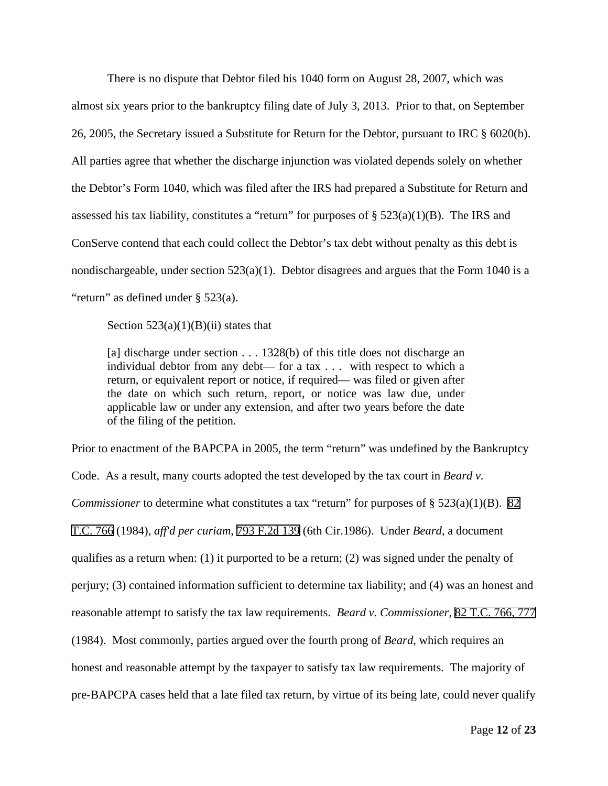There is no dispute that Debtor filed his 1040 form on August 28, 2007, which was almost six years prior to the bankruptcy filing date of July 3, 2013. Prior to that, on September 26, 2005, the Secretary issued a Substitute for Return for the Debtor, pursuant to IRC § 6020(b). All parties agree that whether the discharge injunction was violated depends solely on whether the Debtor's Form 1040, which was filed after the IRS had prepared a Substitute for Return and assessed his tax liability, constitutes a "return" for purposes of  $\S 523(a)(1)(B)$ . The IRS and ConServe contend that each could collect the Debtor's tax debt without penalty as this debt is nondischargeable, under section 523(a)(1). Debtor disagrees and argues that the Form 1040 is a "return" as defined under § 523(a).

Section  $523(a)(1)(B)(ii)$  states that

[a] discharge under section . . . 1328(b) of this title does not discharge an individual debtor from any debt— for a tax . . . with respect to which a return, or equivalent report or notice, if required— was filed or given after the date on which such return, report, or notice was law due, under applicable law or under any extension, and after two years before the date of the filing of the petition.

Prior to enactment of the BAPCPA in 2005, the term "return" was undefined by the Bankruptcy Code. As a result, many courts adopted the test developed by the tax court in *Beard v. Commissioner* to determine what constitutes a tax "return" for purposes of § 523(a)(1)(B). 82 T.C. 766 (1984), *aff'd per curiam*, 793 F.2d 139 (6th Cir.1986). Under *Beard*, a document qualifies as a return when: (1) it purported to be a return; (2) was signed under the penalty of perjury; (3) contained information sufficient to determine tax liability; and (4) was an honest and reasonable attempt to satisfy the tax law requirements. *Beard v. Commissioner*, 82 T.C. 766, 777 (1984). Most commonly, parties argued over the fourth prong of *Beard*, which requires an honest and reasonable attempt by the taxpayer to satisfy tax law requirements. The majority of pre-BAPCPA cases held that a late filed tax return, by virtue of its being late, could never qualify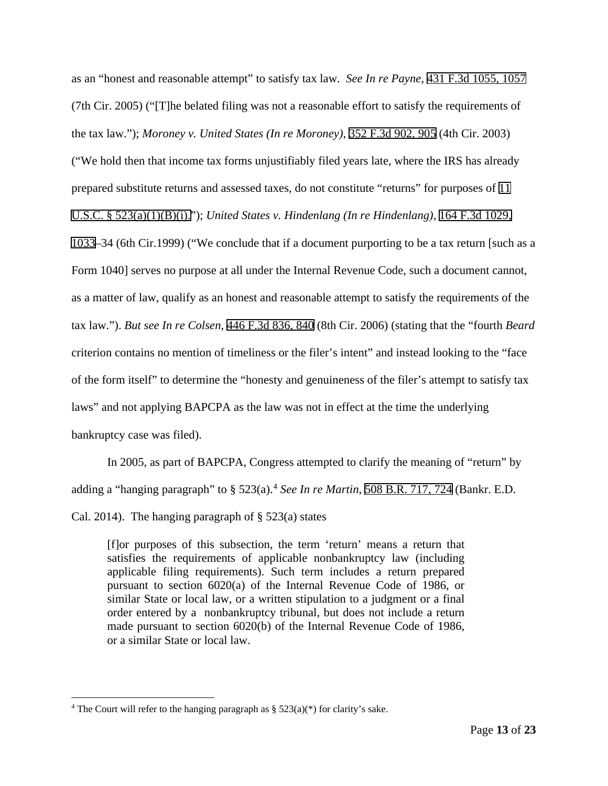as an "honest and reasonable attempt" to satisfy tax law. *See In re Payne*, 431 F.3d 1055, 1057 (7th Cir. 2005) ("[T]he belated filing was not a reasonable effort to satisfy the requirements of the tax law."); *Moroney v. United States (In re Moroney)*, 352 F.3d 902, 905 (4th Cir. 2003) ("We hold then that income tax forms unjustifiably filed years late, where the IRS has already

prepared substitute returns and assessed taxes, do not constitute "returns" for purposes of 11

U.S.C. § 523(a)(1)(B)(i)."); *United States v. Hindenlang (In re Hindenlang)*, 164 F.3d 1029,

1033–34 (6th Cir.1999) ("We conclude that if a document purporting to be a tax return [such as a Form 1040] serves no purpose at all under the Internal Revenue Code, such a document cannot, as a matter of law, qualify as an honest and reasonable attempt to satisfy the requirements of the tax law."). *But see In re Colsen*, 446 F.3d 836, 840 (8th Cir. 2006) (stating that the "fourth *Beard* criterion contains no mention of timeliness or the filer's intent" and instead looking to the "face of the form itself" to determine the "honesty and genuineness of the filer's attempt to satisfy tax laws" and not applying BAPCPA as the law was not in effect at the time the underlying bankruptcy case was filed).

In 2005, as part of BAPCPA, Congress attempted to clarify the meaning of "return" by adding a "hanging paragraph" to § 523(a). [4](#page-12-0) *See In re Martin*, 508 B.R. 717, 724 (Bankr. E.D. Cal. 2014). The hanging paragraph of  $\S$  523(a) states

[f]or purposes of this subsection, the term 'return' means a return that satisfies the requirements of applicable nonbankruptcy law (including applicable filing requirements). Such term includes a return prepared pursuant to section 6020(a) of the Internal Revenue Code of 1986, or similar State or local law, or a written stipulation to a judgment or a final order entered by a nonbankruptcy tribunal, but does not include a return made pursuant to section 6020(b) of the Internal Revenue Code of 1986, or a similar State or local law.

<span id="page-12-0"></span><sup>&</sup>lt;sup>4</sup> The Court will refer to the hanging paragraph as  $\S 523(a)(*)$  for clarity's sake.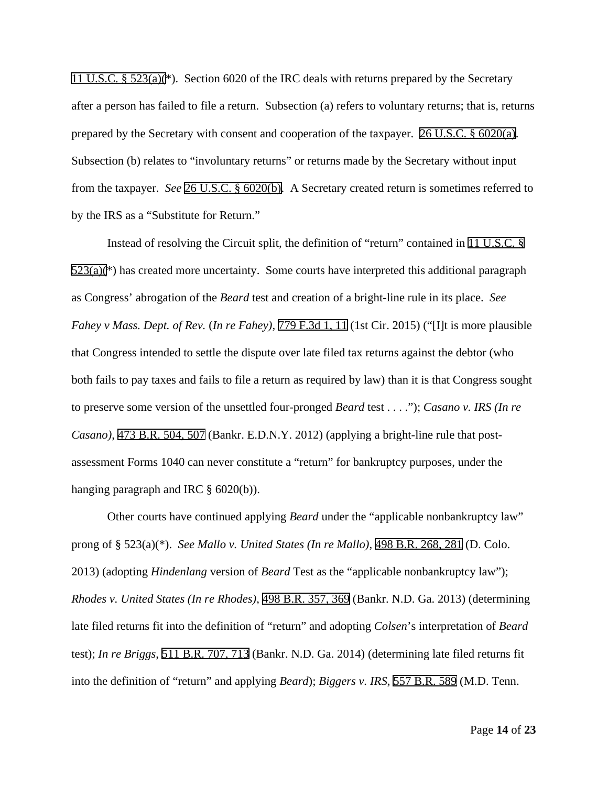11 U.S.C. § 523(a)(\*). Section 6020 of the IRC deals with returns prepared by the Secretary after a person has failed to file a return. Subsection (a) refers to voluntary returns; that is, returns prepared by the Secretary with consent and cooperation of the taxpayer. 26 U.S.C. § 6020(a). Subsection (b) relates to "involuntary returns" or returns made by the Secretary without input from the taxpayer. *See* 26 U.S.C. § 6020(b). A Secretary created return is sometimes referred to by the IRS as a "Substitute for Return."

Instead of resolving the Circuit split, the definition of "return" contained in 11 U.S.C. §  $523(a)$ <sup>(\*)</sup>) has created more uncertainty. Some courts have interpreted this additional paragraph as Congress' abrogation of the *Beard* test and creation of a bright-line rule in its place. *See Fahey v Mass. Dept. of Rev.* (*In re Fahey)*, 779 F.3d 1, 11 (1st Cir. 2015) ("[I]t is more plausible that Congress intended to settle the dispute over late filed tax returns against the debtor (who both fails to pay taxes and fails to file a return as required by law) than it is that Congress sought to preserve some version of the unsettled four-pronged *Beard* test . . . ."); *Casano v. IRS (In re Casano)*, 473 B.R. 504, 507 (Bankr. E.D.N.Y. 2012) (applying a bright-line rule that postassessment Forms 1040 can never constitute a "return" for bankruptcy purposes, under the hanging paragraph and IRC § 6020(b)).

Other courts have continued applying *Beard* under the "applicable nonbankruptcy law" prong of § 523(a)(\*). *See Mallo v. United States (In re Mallo)*, 498 B.R. 268, 281 (D. Colo. 2013) (adopting *Hindenlang* version of *Beard* Test as the "applicable nonbankruptcy law"); *Rhodes v. United States (In re Rhodes)*, 498 B.R. 357, 369 (Bankr. N.D. Ga. 2013) (determining late filed returns fit into the definition of "return" and adopting *Colsen*'s interpretation of *Beard* test); *In re Briggs*, 511 B.R. 707, 713 (Bankr. N.D. Ga. 2014) (determining late filed returns fit into the definition of "return" and applying *Beard*); *Biggers v. IRS*, 557 B.R. 589 (M.D. Tenn.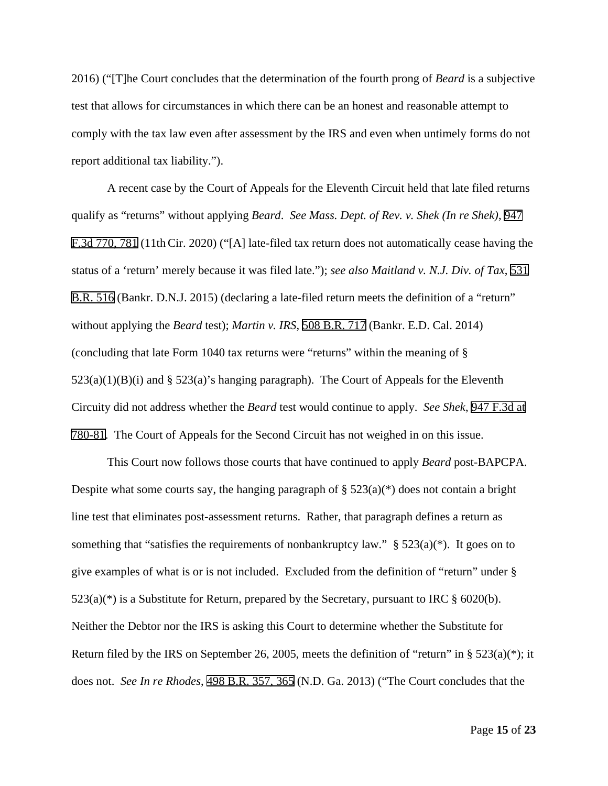2016) ("[T]he Court concludes that the determination of the fourth prong of *Beard* is a subjective test that allows for circumstances in which there can be an honest and reasonable attempt to comply with the tax law even after assessment by the IRS and even when untimely forms do not report additional tax liability.").

A recent case by the Court of Appeals for the Eleventh Circuit held that late filed returns qualify as "returns" without applying *Beard*. *See Mass. Dept. of Rev. v. Shek (In re Shek)*, 947 F.3d 770, 781 (11thCir. 2020) ("[A] late-filed tax return does not automatically cease having the status of a 'return' merely because it was filed late."); *see also Maitland v. N.J. Div. of Tax*, 531 B.R. 516 (Bankr. D.N.J. 2015) (declaring a late-filed return meets the definition of a "return" without applying the *Beard* test); *Martin v. IRS*, 508 B.R. 717 (Bankr. E.D. Cal. 2014) (concluding that late Form 1040 tax returns were "returns" within the meaning of §  $523(a)(1)(B)(i)$  and §  $523(a)$ 's hanging paragraph). The Court of Appeals for the Eleventh Circuity did not address whether the *Beard* test would continue to apply. *See Shek*, 947 F.3d at 780-81. The Court of Appeals for the Second Circuit has not weighed in on this issue.

This Court now follows those courts that have continued to apply *Beard* post-BAPCPA. Despite what some courts say, the hanging paragraph of  $\S 523(a)^{*}$  does not contain a bright line test that eliminates post-assessment returns. Rather, that paragraph defines a return as something that "satisfies the requirements of nonbankruptcy law."  $\S$  523(a)(\*). It goes on to give examples of what is or is not included. Excluded from the definition of "return" under §  $523(a)$ <sup>(\*)</sup>) is a Substitute for Return, prepared by the Secretary, pursuant to IRC § 6020(b). Neither the Debtor nor the IRS is asking this Court to determine whether the Substitute for Return filed by the IRS on September 26, 2005, meets the definition of "return" in  $\S 523(a)(*)$ ; it does not. *See In re Rhodes*, 498 B.R. 357, 365 (N.D. Ga. 2013) ("The Court concludes that the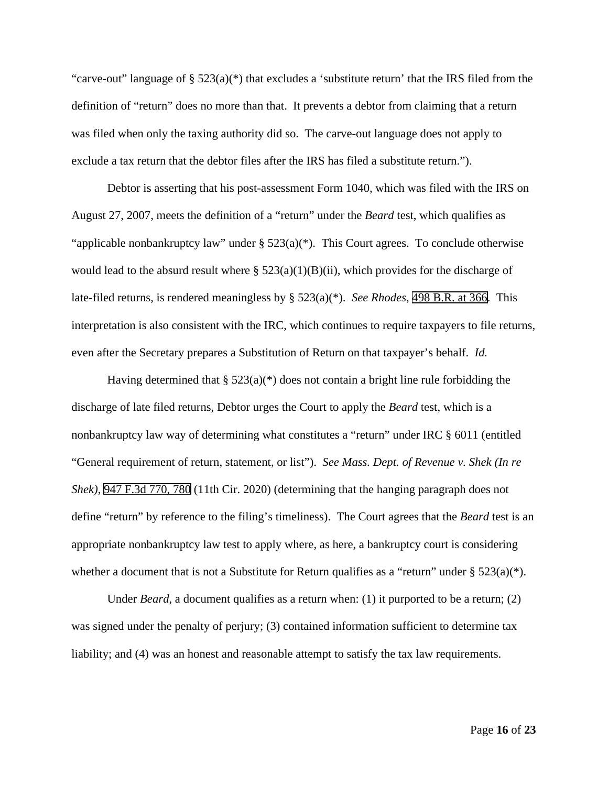"carve-out" language of § 523(a)(\*) that excludes a 'substitute return' that the IRS filed from the definition of "return" does no more than that. It prevents a debtor from claiming that a return was filed when only the taxing authority did so. The carve-out language does not apply to exclude a tax return that the debtor files after the IRS has filed a substitute return.").

Debtor is asserting that his post-assessment Form 1040, which was filed with the IRS on August 27, 2007, meets the definition of a "return" under the *Beard* test, which qualifies as "applicable nonbankruptcy law" under  $\S 523(a)(*)$ . This Court agrees. To conclude otherwise would lead to the absurd result where §  $523(a)(1)(B)(ii)$ , which provides for the discharge of late-filed returns, is rendered meaningless by § 523(a)(\*). *See Rhodes*, 498 B.R. at 366. This interpretation is also consistent with the IRC, which continues to require taxpayers to file returns, even after the Secretary prepares a Substitution of Return on that taxpayer's behalf. *Id.* 

Having determined that  $\S 523(a)(*)$  does not contain a bright line rule forbidding the discharge of late filed returns, Debtor urges the Court to apply the *Beard* test, which is a nonbankruptcy law way of determining what constitutes a "return" under IRC § 6011 (entitled "General requirement of return, statement, or list"). *See Mass. Dept. of Revenue v. Shek (In re Shek)*, 947 F.3d 770, 780 (11th Cir. 2020) (determining that the hanging paragraph does not define "return" by reference to the filing's timeliness). The Court agrees that the *Beard* test is an appropriate nonbankruptcy law test to apply where, as here, a bankruptcy court is considering whether a document that is not a Substitute for Return qualifies as a "return" under  $\S 523(a)^{*}$ .

Under *Beard*, a document qualifies as a return when: (1) it purported to be a return; (2) was signed under the penalty of perjury; (3) contained information sufficient to determine tax liability; and (4) was an honest and reasonable attempt to satisfy the tax law requirements.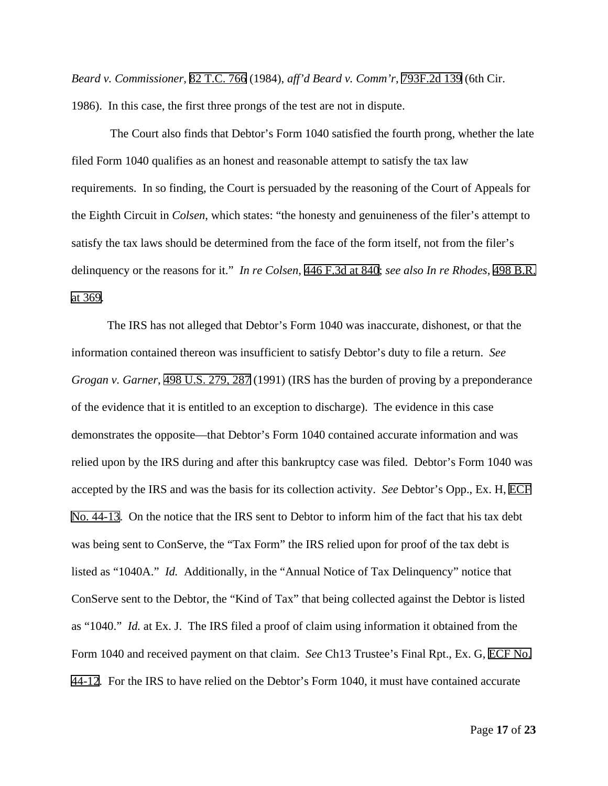*Beard v. Commissioner*, 82 T.C. 766 (1984), *aff'd Beard v. Comm'r*, 793F.2d 139 (6th Cir. 1986). In this case, the first three prongs of the test are not in dispute.

The Court also finds that Debtor's Form 1040 satisfied the fourth prong, whether the late filed Form 1040 qualifies as an honest and reasonable attempt to satisfy the tax law requirements. In so finding, the Court is persuaded by the reasoning of the Court of Appeals for the Eighth Circuit in *Colsen*, which states: "the honesty and genuineness of the filer's attempt to satisfy the tax laws should be determined from the face of the form itself, not from the filer's delinquency or the reasons for it." *In re Colsen*, 446 F.3d at 840; *see also In re Rhodes*, 498 B.R. at 369.

The IRS has not alleged that Debtor's Form 1040 was inaccurate, dishonest, or that the information contained thereon was insufficient to satisfy Debtor's duty to file a return. *See Grogan v. Garner*, 498 U.S. 279, 287 (1991) (IRS has the burden of proving by a preponderance of the evidence that it is entitled to an exception to discharge). The evidence in this case demonstrates the opposite—that Debtor's Form 1040 contained accurate information and was relied upon by the IRS during and after this bankruptcy case was filed. Debtor's Form 1040 was accepted by the IRS and was the basis for its collection activity. *See* Debtor's Opp., Ex. H, ECF No. 44-13. On the notice that the IRS sent to Debtor to inform him of the fact that his tax debt was being sent to ConServe, the "Tax Form" the IRS relied upon for proof of the tax debt is listed as "1040A." *Id.* Additionally, in the "Annual Notice of Tax Delinquency" notice that ConServe sent to the Debtor, the "Kind of Tax" that being collected against the Debtor is listed as "1040." *Id.* at Ex. J. The IRS filed a proof of claim using information it obtained from the Form 1040 and received payment on that claim. *See* Ch13 Trustee's Final Rpt., Ex. G, ECF No. 44-12. For the IRS to have relied on the Debtor's Form 1040, it must have contained accurate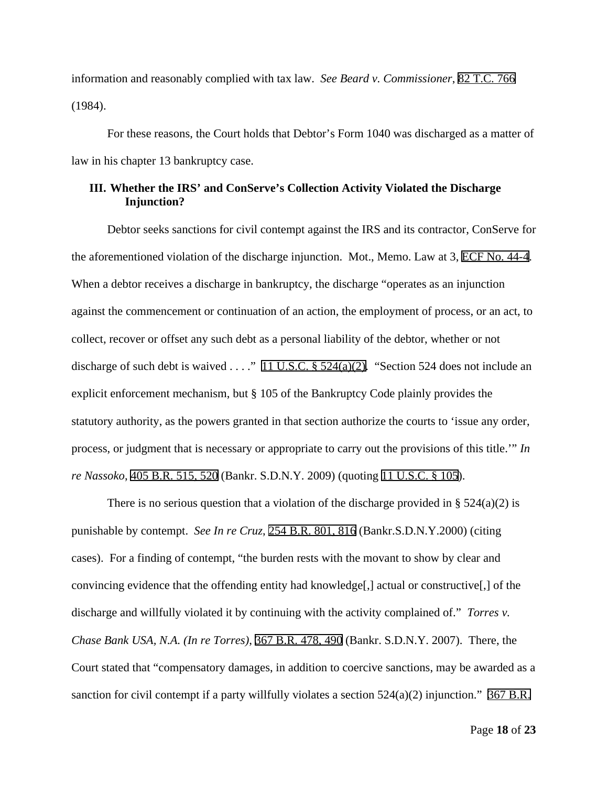information and reasonably complied with tax law. *See Beard v. Commissioner*, 82 T.C. 766 (1984).

For these reasons, the Court holds that Debtor's Form 1040 was discharged as a matter of law in his chapter 13 bankruptcy case.

# **III. Whether the IRS' and ConServe's Collection Activity Violated the Discharge Injunction?**

Debtor seeks sanctions for civil contempt against the IRS and its contractor, ConServe for the aforementioned violation of the discharge injunction. Mot., Memo. Law at 3, ECF No. 44-4. When a debtor receives a discharge in bankruptcy, the discharge "operates as an injunction against the commencement or continuation of an action, the employment of process, or an act, to collect, recover or offset any such debt as a personal liability of the debtor, whether or not discharge of such debt is waived . . . ." 11 U.S.C.  $\S$  524(a)(2). "Section 524 does not include an explicit enforcement mechanism, but § 105 of the Bankruptcy Code plainly provides the statutory authority, as the powers granted in that section authorize the courts to 'issue any order, process, or judgment that is necessary or appropriate to carry out the provisions of this title.'" *In re Nassoko*, 405 B.R. 515, 520 (Bankr. S.D.N.Y. 2009) (quoting 11 U.S.C. § 105).

There is no serious question that a violation of the discharge provided in  $\S$  524(a)(2) is punishable by contempt. *See In re Cruz*, 254 B.R. 801, 816 (Bankr.S.D.N.Y.2000) (citing cases). For a finding of contempt, "the burden rests with the movant to show by clear and convincing evidence that the offending entity had knowledge[,] actual or constructive[,] of the discharge and willfully violated it by continuing with the activity complained of." *Torres v. Chase Bank USA, N.A. (In re Torres)*, 367 B.R. 478, 490 (Bankr. S.D.N.Y. 2007). There, the Court stated that "compensatory damages, in addition to coercive sanctions, may be awarded as a sanction for civil contempt if a party willfully violates a section  $524(a)(2)$  injunction." 367 B.R.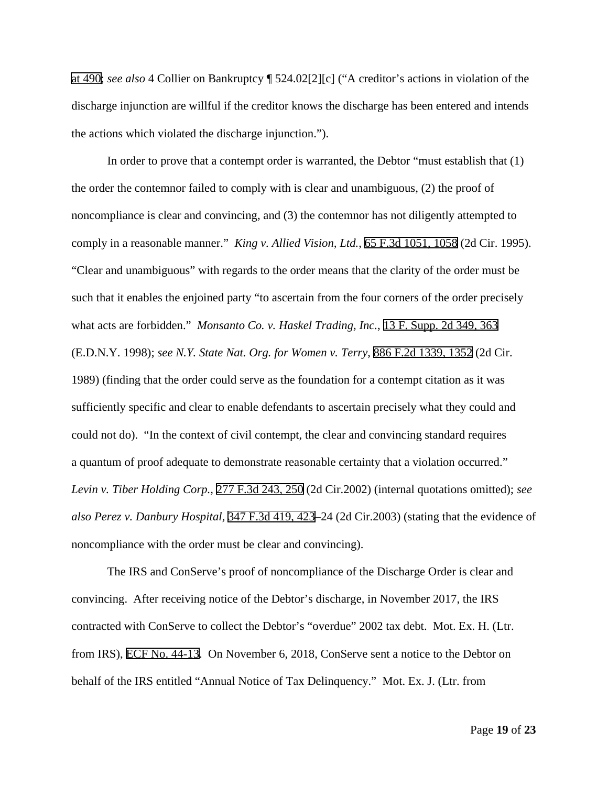at 490; *see also* 4 Collier on Bankruptcy ¶ 524.02[2][c] ("A creditor's actions in violation of the discharge injunction are willful if the creditor knows the discharge has been entered and intends the actions which violated the discharge injunction.").

In order to prove that a contempt order is warranted, the Debtor "must establish that (1) the order the contemnor failed to comply with is clear and unambiguous, (2) the proof of noncompliance is clear and convincing, and (3) the contemnor has not diligently attempted to comply in a reasonable manner." *King v. Allied Vision, Ltd.*, 65 F.3d 1051, 1058 (2d Cir. 1995). "Clear and unambiguous" with regards to the order means that the clarity of the order must be such that it enables the enjoined party "to ascertain from the four corners of the order precisely what acts are forbidden." *Monsanto Co. v. Haskel Trading, Inc.*, 13 F. Supp. 2d 349, 363 (E.D.N.Y. 1998); *see N.Y. State Nat. Org. for Women v. Terry*, 886 F.2d 1339, 1352 (2d Cir. 1989) (finding that the order could serve as the foundation for a contempt citation as it was sufficiently specific and clear to enable defendants to ascertain precisely what they could and could not do). "In the context of civil contempt, the clear and convincing standard requires a quantum of proof adequate to demonstrate reasonable certainty that a violation occurred." *Levin v. Tiber Holding Corp.,* 277 F.3d 243, 250 (2d Cir.2002) (internal quotations omitted); *see also Perez v. Danbury Hospital,* 347 F.3d 419, 423–24 (2d Cir.2003) (stating that the evidence of noncompliance with the order must be clear and convincing).

The IRS and ConServe's proof of noncompliance of the Discharge Order is clear and convincing. After receiving notice of the Debtor's discharge, in November 2017, the IRS contracted with ConServe to collect the Debtor's "overdue" 2002 tax debt. Mot. Ex. H. (Ltr. from IRS), ECF No. 44-13. On November 6, 2018, ConServe sent a notice to the Debtor on behalf of the IRS entitled "Annual Notice of Tax Delinquency." Mot. Ex. J. (Ltr. from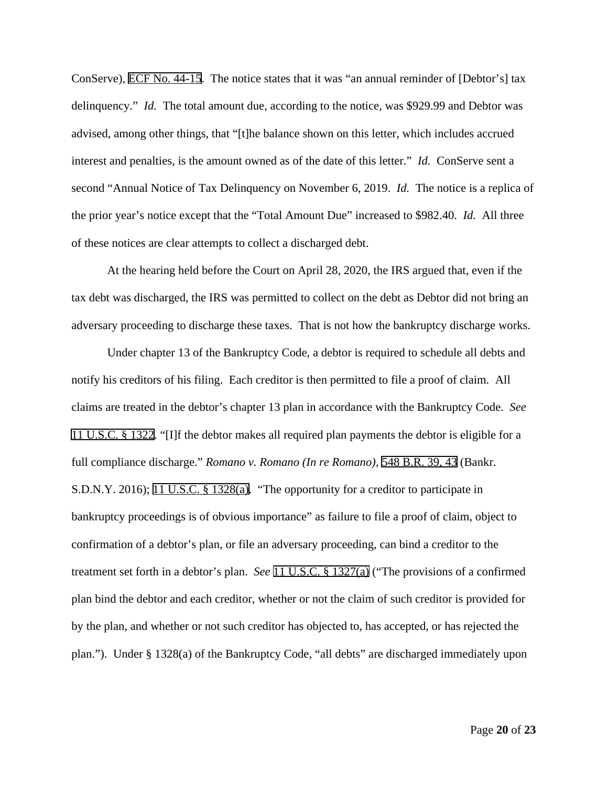ConServe), ECF No. 44-15. The notice states that it was "an annual reminder of [Debtor's] tax delinquency." *Id.* The total amount due, according to the notice, was \$929.99 and Debtor was advised, among other things, that "[t]he balance shown on this letter, which includes accrued interest and penalties, is the amount owned as of the date of this letter." *Id.* ConServe sent a second "Annual Notice of Tax Delinquency on November 6, 2019. *Id.* The notice is a replica of the prior year's notice except that the "Total Amount Due" increased to \$982.40. *Id.* All three of these notices are clear attempts to collect a discharged debt.

At the hearing held before the Court on April 28, 2020, the IRS argued that, even if the tax debt was discharged, the IRS was permitted to collect on the debt as Debtor did not bring an adversary proceeding to discharge these taxes. That is not how the bankruptcy discharge works.

Under chapter 13 of the Bankruptcy Code, a debtor is required to schedule all debts and notify his creditors of his filing. Each creditor is then permitted to file a proof of claim. All claims are treated in the debtor's chapter 13 plan in accordance with the Bankruptcy Code. *See* 11 U.S.C. § 1322. "[I]f the debtor makes all required plan payments the debtor is eligible for a full compliance discharge." *Romano v. Romano (In re Romano)*, 548 B.R. 39, 43 (Bankr. S.D.N.Y. 2016); 11 U.S.C. § 1328(a). "The opportunity for a creditor to participate in bankruptcy proceedings is of obvious importance" as failure to file a proof of claim, object to confirmation of a debtor's plan, or file an adversary proceeding, can bind a creditor to the treatment set forth in a debtor's plan. *See* 11 U.S.C. § 1327(a) ("The provisions of a confirmed plan bind the debtor and each creditor, whether or not the claim of such creditor is provided for by the plan, and whether or not such creditor has objected to, has accepted, or has rejected the plan."). Under § 1328(a) of the Bankruptcy Code, "all debts" are discharged immediately upon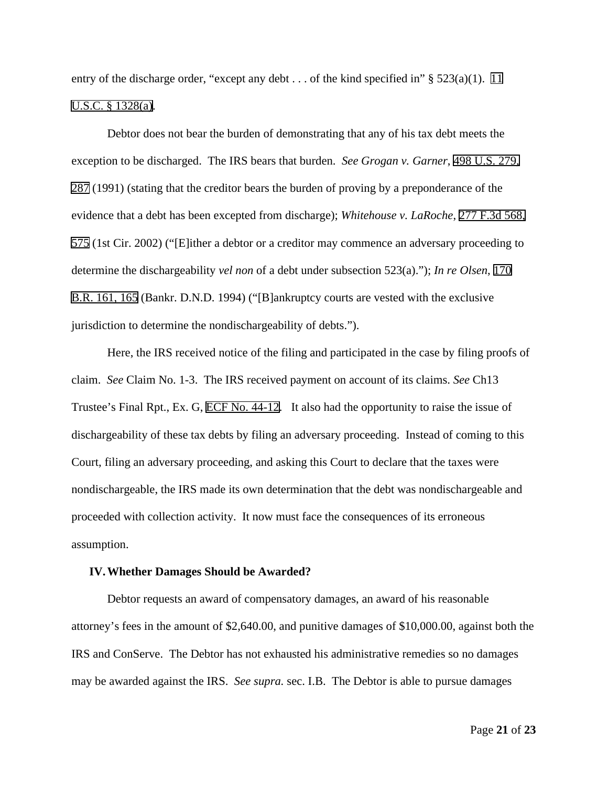entry of the discharge order, "except any debt . . . of the kind specified in" § 523(a)(1). 11 U.S.C. § 1328(a).

Debtor does not bear the burden of demonstrating that any of his tax debt meets the exception to be discharged. The IRS bears that burden. *See Grogan v. Garner*, 498 U.S. 279, 287 (1991) (stating that the creditor bears the burden of proving by a preponderance of the evidence that a debt has been excepted from discharge); *Whitehouse v. LaRoche*, 277 F.3d 568, 575 (1st Cir. 2002) ("[E]ither a debtor or a creditor may commence an adversary proceeding to determine the dischargeability *vel non* of a debt under subsection 523(a)."); *In re Olsen*, 170 B.R. 161, 165 (Bankr. D.N.D. 1994) ("[B]ankruptcy courts are vested with the exclusive jurisdiction to determine the nondischargeability of debts.").

Here, the IRS received notice of the filing and participated in the case by filing proofs of claim. *See* Claim No. 1-3. The IRS received payment on account of its claims. *See* Ch13 Trustee's Final Rpt., Ex. G, ECF No. 44-12. It also had the opportunity to raise the issue of dischargeability of these tax debts by filing an adversary proceeding. Instead of coming to this Court, filing an adversary proceeding, and asking this Court to declare that the taxes were nondischargeable, the IRS made its own determination that the debt was nondischargeable and proceeded with collection activity. It now must face the consequences of its erroneous assumption.

#### **IV.Whether Damages Should be Awarded?**

Debtor requests an award of compensatory damages, an award of his reasonable attorney's fees in the amount of \$2,640.00, and punitive damages of \$10,000.00, against both the IRS and ConServe. The Debtor has not exhausted his administrative remedies so no damages may be awarded against the IRS. *See supra.* sec. I.B. The Debtor is able to pursue damages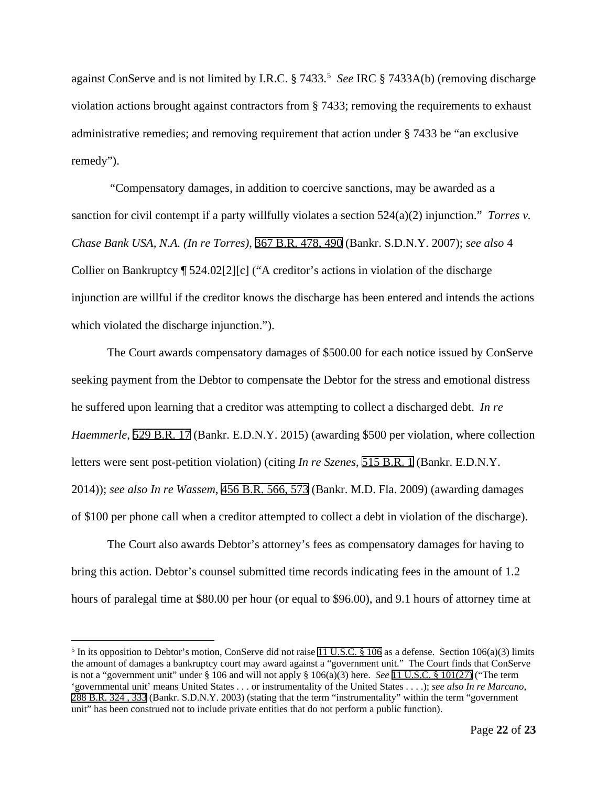against ConServe and is not limited by I.R.C. § 7433. [5](#page-21-0) *See* IRC § 7433A(b) (removing discharge violation actions brought against contractors from § 7433; removing the requirements to exhaust administrative remedies; and removing requirement that action under § 7433 be "an exclusive remedy").

"Compensatory damages, in addition to coercive sanctions, may be awarded as a sanction for civil contempt if a party willfully violates a section 524(a)(2) injunction." *Torres v. Chase Bank USA, N.A. (In re Torres)*, 367 B.R. 478, 490 (Bankr. S.D.N.Y. 2007); *see also* 4 Collier on Bankruptcy ¶ 524.02[2][c] ("A creditor's actions in violation of the discharge injunction are willful if the creditor knows the discharge has been entered and intends the actions which violated the discharge injunction.").

The Court awards compensatory damages of \$500.00 for each notice issued by ConServe seeking payment from the Debtor to compensate the Debtor for the stress and emotional distress he suffered upon learning that a creditor was attempting to collect a discharged debt. *In re Haemmerle*, 529 B.R. 17 (Bankr. E.D.N.Y. 2015) (awarding \$500 per violation, where collection letters were sent post-petition violation) (citing *In re Szenes*, 515 B.R. 1 (Bankr. E.D.N.Y. 2014)); *see also In re Wassem*, 456 B.R. 566, 573 (Bankr. M.D. Fla. 2009) (awarding damages of \$100 per phone call when a creditor attempted to collect a debt in violation of the discharge).

The Court also awards Debtor's attorney's fees as compensatory damages for having to bring this action. Debtor's counsel submitted time records indicating fees in the amount of 1.2 hours of paralegal time at \$80.00 per hour (or equal to \$96.00), and 9.1 hours of attorney time at

<span id="page-21-0"></span><sup>&</sup>lt;sup>5</sup> In its opposition to Debtor's motion, ConServe did not raise 11 U.S.C. § 106 as a defense. Section 106(a)(3) limits the amount of damages a bankruptcy court may award against a "government unit." The Court finds that ConServe is not a "government unit" under § 106 and will not apply § 106(a)(3) here. *See* 11 U.S.C. § 101(27) ("The term 'governmental unit' means United States . . . or instrumentality of the United States . . . .); *see also In re Marcano*, 288 B.R. 324 , 333 (Bankr. S.D.N.Y. 2003) (stating that the term "instrumentality" within the term "government unit" has been construed not to include private entities that do not perform a public function).